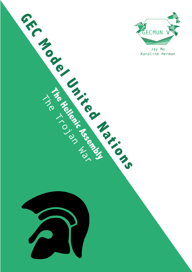

Jay Mo

The Help Islam Warehouse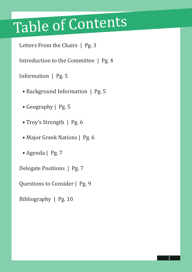# Table of Contents

Letters From the Chairs | Pg. 3

Introduction to the Committee | Pg. 4

Information | Pg. 5

- Background Information | Pg. 5
- Geography | Pg. 5
- Troy's Strength | Pg. 6
- Major Greek Nations | Pg. 6
- Agenda | Pg. 7

Delegate Positions | Pg. 7

Questions to Consider | Pg. 9

Bibliography | Pg. 10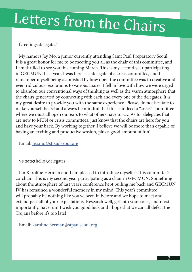# Letters from the Chairs

#### Greetings delegates!

My name is Jay Mo, a junior currently attending Saint Paul Preparatory Seoul. It is a great honor for me to be meeting you all as the chair of this committee, and I am thrilled to see you this coming March. This is my second year participating in GECMUN. Last year, I was here as a delegate of a crisis committee, and I remember myself being astonished by how open the committee was to creative and even ridiculous resolutions to various issues. I fell in love with how we were urged to abandon our conventional ways of thinking as well as the warm atmosphere that the chairs generated by connecting with each and every one of the delegates. It is my great desire to provide you with the same experience. Please, do not hesitate to make yourself heard and always be mindful that this is indeed a "crisis" committee where we must all open our ears to what others have to say. As for delegates that are new to MUN or crisis committees, just know that the chairs are here for you and have your back. By working together, I believe we will be more than capable of having an exciting and productive session, plus a good amount of fun!

Email: jea.mo@stpaulseoul.org

#### γειασας(hello),delegates!

I'm Karoline Herman and I am pleased to introduce myself as this committee's co-chair. This is my second year participating as a chair in GECMUN. Something about the atmosphere of last year's conference kept pulling me back and GECMUN IV has remained a wonderful memory in my mind. This year's committee will probably be nothing like you've been in before and we hope to meet and extend past all of your expectations. Research well, get into your roles, and most importantly, have fun! I wish you good luck and I hope that we can all defeat the Trojans before it's too late!

Email: karoline.herman@stpaulseoul.org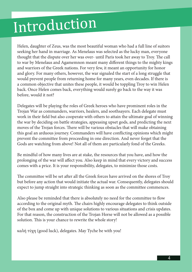## Introduction

Helen, daughter of Zeus, was the most beautiful woman who had a full line of suitors seeking her hand in marriage. As Menelaus was selected as the lucky man, everyone thought that the dispute over her was over- until Paris took her away to Troy. The call to war by Menelaus and Agamemnon meant many different things to the mighty kings and warriors of the Greek nations. For very few, it meant an opportunity for honor and glory. For many others, however, the war signaled the start of a long struggle that would prevent people from returning home for many years, even decades. If there is a common objective that unites these people, it would be toppling Troy to win Helen back. Once Helen comes back, everything would surely go back to the way it was before, would it not?

Delegates will be playing the roles of Greek heroes who have prominent roles in the Trojan War as commanders, warriors, healers, and soothsayers. Each delegate must work in their field but also cooperate with others to attain the ultimate goal of winning the war by deciding on battle strategies, appeasing upset gods, and predicting the next moves of the Trojan forces. There will be various obstacles that will make obtaining this goal an arduous journey. Commanders will have conflicting opinions which might prevent the committee from proceeding in one direction. And never forget that the Gods are watching from above! Not all of them are particularly fond of the Greeks.

Be mindful of how many lives are at stake, the resources that you have, and how the prolonging of the war will affect you. Also keep in mind that every victory and success comes with a price. It is your responsibility, delegates, to minimize those costs.

The committee will be set after all the Greek forces have arrived on the shores of Troy but before any action that would initiate the actual war. Consequently, delegates should expect to jump straight into strategic thinking as soon as the committee commences.

Also please be reminded that there is absolutely no need for the committee to flow according to the original myth. The chairs highly encourage delegates to think outside of the box and come up with unique solutions to various situations and crisis updates. For that reason, the construction of the Trojan Horse will not be allowed as a possible solution. This is your chance to rewrite the whole story!

καλή τύχη (good luck), delegates. May Tyche be with you!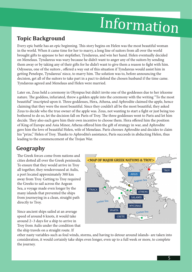# Information

### **Topic Background**

Every epic battle has an epic beginning. This story begins on Helen was the most beautiful woman in the world. When it came time for her to marry, a long line of suitors from all over the world brought gifts to appease to her stepfather, Tyndareus, and win her hand. Helen eventually decided on Menelaus. Tyndareus was wary because he didn't want to anger any of the suitors by sending them away or by taking any of their gifts for he didn't want to give them a reason to fight with him. Odysseus, one of the suitors , offered a way out of this situation if Tyndareus would assist him in getting Penelope, Tyndareus' niece, to marry him. The solution was to, before announcing the decision, get all of the suitors to take part in a pact to defend the chosen husband if the time came. Tyndareus agreed and Menelaus and Helen were married.

Later on, Zeus held a ceremony in Olympus but didn't invite one of the goddesses due to her irksome nature. The goddess, infuriated, threw a golden apple into the ceremony with the writing "To the most beautiful" inscripted upon it. Three goddesses, Hera, Athena, and Aphrodite claimed the apple, hence claiming that they were the most beautiful. Since they couldn't all be the most beautiful, they asked Zeus to decide who the true owner of the apple was. Zeus, not wanting to start a fight or just being too bothered to do so, let the decision fall on Paris of Troy. The three goddesses went to Paris and let him decide. They also each gave him their own incentive to choose them. Hera offered him the position of King of Europe and Asia Minor, Athena offered him the gift of strategy in war, and Aphrodite gave him the love of beautiful Helen, wife of Menelaus. Paris chooses Aphrodite and decides to claim his "prize," Helen of Troy. Thanks to Aphrodite's assistance, Paris succeeds in abducting Helen, thus leading to the commencement of the Trojan War.

### **Geography**

The Greek forces come from nations and cities dotted all over the Greek peninsula. To ensure that they would arrive in Troy all together, they rendezvoused at Aulis, a port located approximately 300 km away from Troy. Getting to Troy required the Greeks to sail across the Aegean Sea, a voyage made even longer by the many islands that prevented the ships from journeying in a clean, straight path directly to Troy.

Since ancient ships sailed at an average speed of around 6 knots, it would take around 2~3 days for a ship to arrive in Troy from Aulis under the condition that the ship travels on a straight route. If



other nasty variables-such as foul winds, storms, and having to detour around islands- are taken into consideration, it would certainly take ships even longer, even up to a full week or more, to complete the journey.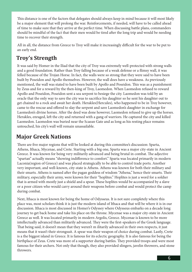This distance is one of the factors that delegates should always keep in mind because it will most likely be a major element that will prolong the war. Reinforcements, if needed, will have to be called ahead of time to make sure that they arrive at the perfect time. When discussing battle plans, commanders should be mindful of the fact that their men would be tired after the long trip and would be needing time to recover their strength.

All in all, the distance from Greece to Troy will make it increasingly difficult for the war to be put to an early end.

### **Troy's Strength**

It was said by Homer in the Iliad that the city of Troy was extremely well-protected with strong walls and a good foundation. Rather than Troy falling because of a weak defense or a flimsy wall, it was felled because of the Trojan Horse. In fact, the walls were so strong that they were said to have been built by Poseidon and Apollo themselves. However, the wall does have a weakness. As previously mentioned, the wall was stated to have been built by Apollo and Poseidon. This was as a punishment by Zeus and for a reward by the then-king of Troy, Laomedon. When Laomedon refused to reward Apollo and Poseidon, Poseidon sent a sea serpent to besiege the city. Laomedon was told by an oracle that the only way to save the city was to sacrifice his daughter so he sent his daughter out to get chained to a rock and await her death. Herakles(Hercules), who happened to be in Troy however, came to the rescue and offered to slay the serpent and save Laomedon's daughter in exchange for Laomedon's divine horses. After the deed was done however, Laomedon refused to give up the horses. Herakles, enraged, left the city and returned with a gang of warriors. He captured the city and killed Laomedon. Laomedon was buried near the Scaean Gate and as long as his resting place remains untouched, his city's wall will remain unassailable.

### **Major Greek Nations**

There are five major regions that will be looked at during this committee's discussion: Sparta, Athens, Ithaca, Mycenae, and Crete. Starting with a big one, Sparta was a major city-state in Ancient Greece. It was known for being very militarily advanced and being brutal in combat. The adjective "spartan" actually means "showing indifference to comfort." Sparta was located primarily in modern Laconia(region of Greece) and was placed strategically to be able to control trade ports. Another very important, and well-known, city-state is Athens. Athens was known for both their military and their smarts. Athens is named after the pagan goddess of wisdom "Athena," hence their smarts. Their military, especially their army, were known for their "hoplites." Hoplites is just a word for a soldier that is armed with mostly just a shield and a spear. These hoplites would be accompanied by a slave or a poor citizen who would carry around their weapons before combat and would protect the camp during combat.

Next, Ithaca is most known for being the home of Odysseus. It is not sure completely where this place was, most scholars think it is just the modern island of Ithaca and that will be where it is in our discussion. Ithaca is most discussed in Homer's Odyssey where Odysseus embarks on a decade long journey to get back home and take his place on the throne. Mycenae was a major city-state in Ancient Greece as well. It was located primarily in modern Argolis, Greece. Mycenae is known to be more intellectually advanced than militarily advanced. They were the first-speakers of the Greek language. That being said, it doesn't mean that they weren't m ilitarily advanced in their own respects, it just means that it wasn't their strongsuit. A spear was their weapon of choice during combat. Lastly, Crete is a the biggest island in Greece. It is famous for its eclectic geography. It is also famous for being the birthplace of Zeus. Crete was more of a supporter during battles. They provided troops and were most famous for their archers. Not only that though, they also provided slingers, javelin throwers, and stone throwers.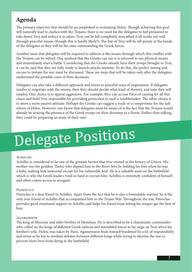### **Agenda**

The primary objective that should be accomplished is reclaiming Helen. Though achieving this goal will naturally lead to clashes with the Trojans, there is no need for the delegates to feel pressured to take down Troy and reduce it to ashes. Troy can be left completely unscathed if all works out well through peaceful means (though this is hardly likely!). The fate of Troy will be left purely at the hands of the delegates as they will be the ones commanding the Greek forces.

Another issue that delegates will be required to address is the means through which this conflict with the Trojans can be solved. One method that the Greeks can use is to proceed to use physical means and immediately start a battle. Considering that the Greeks already have their troops brought to Troy, it can be said that they are fully ready to launch attacks anytime. To do this, the perfect timing and excuse to initiate the war must be discussed. These are steps that will be taken only after the delegates understand the possible costs of their decisions.

Delegates can also take a different approach and resort to peaceful ways of negotiation. If delegates resolve to negotiate with the enemy, then they should decide what kind of rhetoric and tone they will employ. One choice is to appear aggressive. For example, they can accuse Paris of causing for all this chaos and hold Troy responsible for providing protection to such a troublemaker. The other choice is to show a more passive attitude. Perhaps the Greeks can suggest a trade or a compromise for the safe return of Helen. However, one factor that delegates must be aware of is the fact that the Trojans would already be sensing the presence of the Greek troops on their doorstep as a threat. Rather than talking, they could be preparing an army of their own.

# Delegate Positions

#### **ACHILLES**

Achilles is considered to be one of the greatest heroes that ever existed in the history of Greece. His mother was the goddess Thetis, who dipped him in the River Styx by holding his foot when he was a baby, making him immortal except for his vulnerable heel. He is a valuable asset on the battlefield which is why the Greek leaders tried so hard to recruit him. Achilles is extremely confident of himself and often comes across as arrogant.

#### **PATROCLUS**

Patroclus is a dear friend to Achilles. Apart from the fact that he is also a formidable warrior, he is the only true friend of Achilles that accompanied him to the Trojan War. Throughout the war, Patroclus provides good emotional support to Achilles and helps his friend from letting his temper get the best of him.

#### **AGAMEMNON**

The king of Mycenae and elder brother of Menelaus. He is described to be a charismatic commander who called on the kings of different Greek nations and assembled forces to lay siege on Troy when his brother's wife, Helen, was taken by Paris. Agamemnon finds himself burdened by a lot of responsibility and stress as he has to mediate debates between different kings while trying to shorten the war to prevent more lives from dying in the battlefield.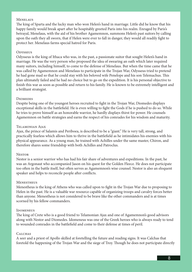#### **MENELAUS**

The king of Sparta and the lucky man who won Helen's hand in marriage. Little did he know that his happy family would break apart after he hospitably greeted Paris into his realm. Enraged by Paris's betrayal, Menelaus, with the aid of his brother Agamemnon, summons Helen's past suitors by calling upon the oath they all sworn, that if Helen were ever to fall in danger, they would all readily fight to protect her. Menelaus farms special hatred for Paris.

#### **ODYSSEUS**

Odysseus is the king of Ithaca who was, in the past, a passionate suitor that sought Helen's hand in marriage. He was the very person who proposed the idea of swearing an oath which later required many suitors, including himself, to come to the defense of Menelaus. But when the time came that he was called by Agamemnon and Menelaus to participate in the Trojan War, Odysseus tried to pretend he had gone mad so that he could stay with his beloved wife Penelope and his son Telemachus. This plan ultimately failed and he had no choice but to go on the expedition. It is his personal objective to finish this war as soon as possible and return to his family. He is known to be extremely intelligent and a brilliant strategist.

#### **DIOMEDES**

Despite being one of the youngest heroes recruited to fight in the Trojan War, Diomedes displays exceptional skills in the battlefield. He is even willing to fight the Gods if he is pushed to do so. While he tries to prove himself as an honorable warrior, he hardly displays thirst for power. He counsels Agamemnon on battle strategies and earns the respect of his comrades for his wisdom and maturity.

#### Telamonian Ajax

Ajax, the prince of Salamis and Periboea, is described to be a "giant." He is very tall, strong, and practically fearless which allows him to thrive in the battlefield as he intimidates his enemies with his physical appearance. As a young man, he trained with Achilles under the same master, Chiron, and therefore shares some friendship with both Achilles and Patroclus.

#### **NESTOR**

Nestor is a senior warrior who has had his fair share of adventures and expeditions. In the past, he was an Argonaut who accompanied Jason on his quest for the Golden Fleece. He does not participate too often in the battle itself, but often serves as Agamemnon's wise counsel. Nestor is also an eloquent speaker and helps to reconcile people after conflicts.

#### **MENESTHEUS**

Menestheus is the king of Athens who was called upon to fight in the Trojan War due to proposing to Helen in the past. He is a valuable war resource capable of organizing troops and cavalry forces better than anyone. Menestheus is not considered to be brave like the other commanders and is at times scorned by his fellow commanders.

#### **IDOMENEUS**

The king of Crete who is a good friend to Telamonian Ajax and one of Agamemnon's good advisors along with Nestor and Diomedes. Idomeneus was one of the Greek heroes who is always ready to tend to wounded comrades in the battlefield and come to their defense at times of peril.

#### **CALCHAS**

A seer and a priest of Apollo skilled at foretelling the future and reading signs. It was Calchas that foretold the happening of the Trojan War and the siege of Troy. Though he does not participate directly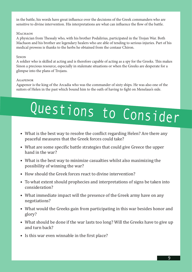in the battle, his words have great influence over the decisions of the Greek commanders who are sensitive to divine intervention. His interpretations are what can influence the flow of the battle.

#### MACHAON

A physician from Thessaly who, with his brother Podalirius, participated in the Trojan War. Both Machaon and his brother are legendary healers who are able of tending to serious injuries. Part of his medical prowess is thanks to the herbs he obtained from the centaur Chiron.

#### **SINON**

A soldier who is skilled at acting and is therefore capable of acting as a spy for the Greeks. This makes Sinon a precious resource, especially in stalemate situations or when the Greeks are desperate for a glimpse into the plans of Trojans.

#### Agapenor

Agapenor is the king of the Arcadia who was the commander of sixty ships. He was also one of the suitors of Helen in the past which bound him to the oath of having to fight on Menelaus's side.

# Questions to Consider

- What is the best way to resolve the conflict regarding Helen? Are there any peaceful measures that the Greek forces could take?
- What are some specific battle strategies that could give Greece the upper hand in the war?
- What is the best way to minimize casualties whilst also maximizing the possibility of winning the war?
- How should the Greek forces react to divine intervention?
- To what extent should prophecies and interpretations of signs be taken into consideration?
- What immediate impact will the presence of the Greek army have on any negotiations?
- What would the Greeks gain from participating in this war besides honor and glory?
- What should be done if the war lasts too long? Will the Greeks have to give up and turn back?
- Is this war even winnable in the first place?